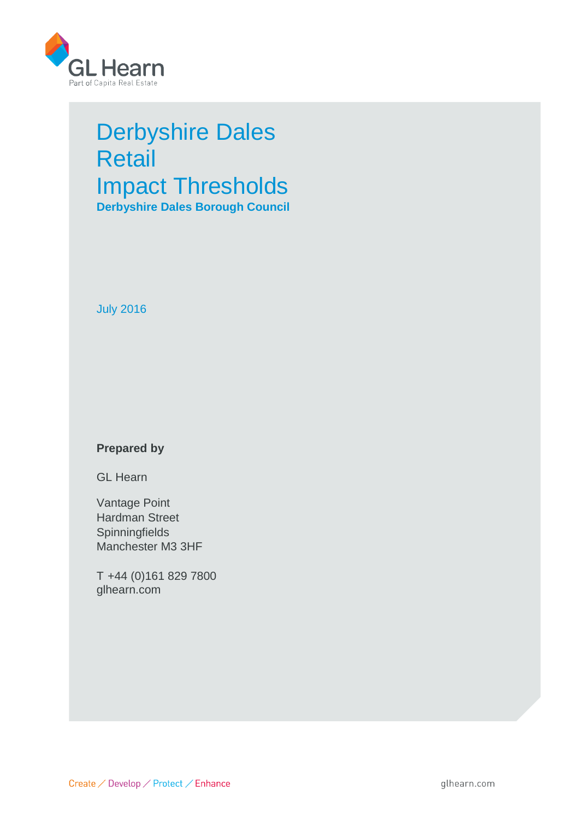

# Derbyshire Dales Retail Impact Thresholds **Derbyshire Dales Borough Council**

July 2016

# **Prepared by**

GL Hearn

Vantage Point Hardman Street **Spinningfields** Manchester M3 3HF

T +44 (0)161 829 7800 glhearn.com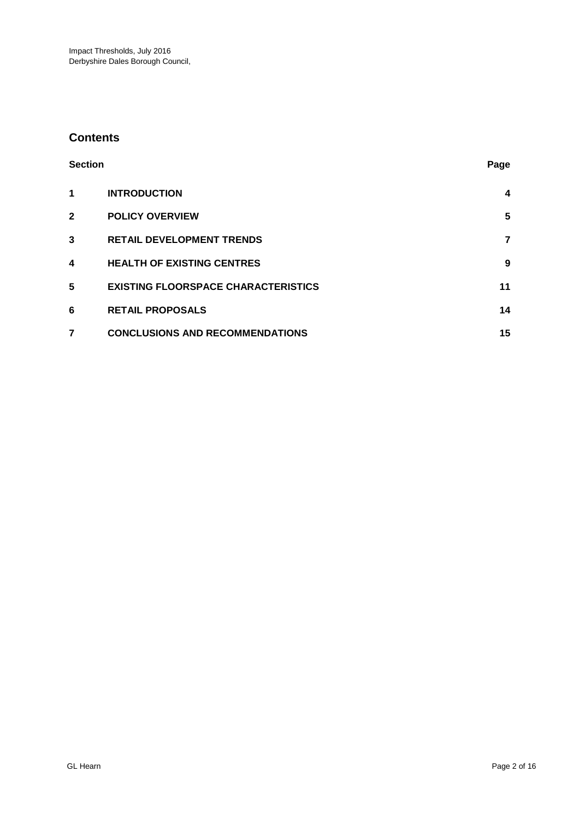# **Contents**

| <b>Section</b> |                                            | Page           |
|----------------|--------------------------------------------|----------------|
| 1              | <b>INTRODUCTION</b>                        | 4              |
| $\mathbf{2}$   | <b>POLICY OVERVIEW</b>                     | $5\phantom{1}$ |
| 3              | <b>RETAIL DEVELOPMENT TRENDS</b>           | 7              |
| 4              | <b>HEALTH OF EXISTING CENTRES</b>          | 9              |
| 5              | <b>EXISTING FLOORSPACE CHARACTERISTICS</b> | 11             |
| 6              | <b>RETAIL PROPOSALS</b>                    | 14             |
| 7              | <b>CONCLUSIONS AND RECOMMENDATIONS</b>     | 15             |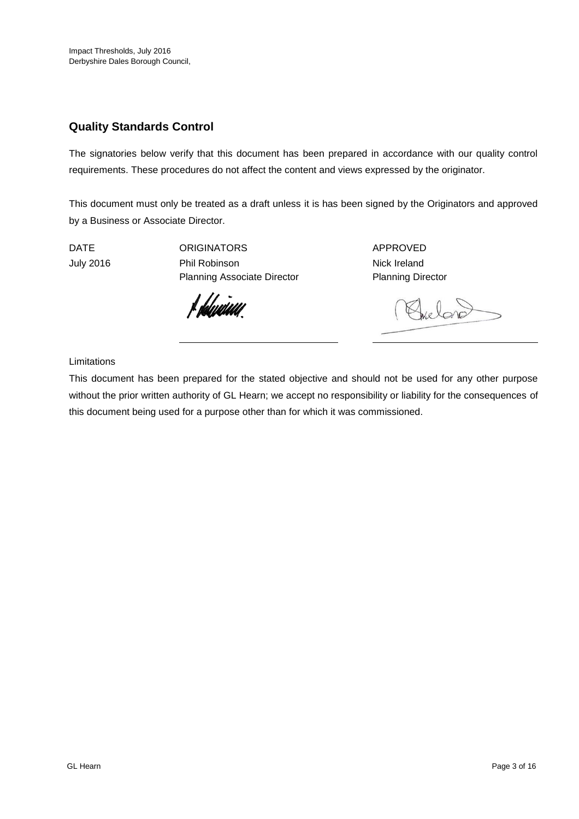# **Quality Standards Control**

The signatories below verify that this document has been prepared in accordance with our quality control requirements. These procedures do not affect the content and views expressed by the originator.

This document must only be treated as a draft unless it is has been signed by the Originators and approved by a Business or Associate Director.

DATE ORIGINATORS APPROVED July 2016 **Phil Robinson** Phil Robinson **Nick Ireland** Planning Associate Director Planning Director

f dduniau

Quelono

#### Limitations

This document has been prepared for the stated objective and should not be used for any other purpose without the prior written authority of GL Hearn; we accept no responsibility or liability for the consequences of this document being used for a purpose other than for which it was commissioned.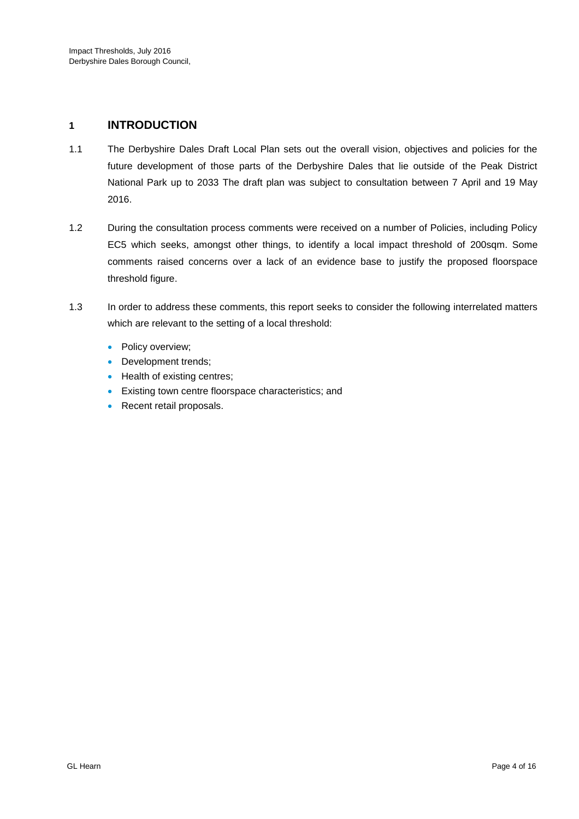## **1 INTRODUCTION**

- 1.1 The Derbyshire Dales Draft Local Plan sets out the overall vision, objectives and policies for the future development of those parts of the Derbyshire Dales that lie outside of the Peak District National Park up to 2033 The draft plan was subject to consultation between 7 April and 19 May 2016.
- 1.2 During the consultation process comments were received on a number of Policies, including Policy EC5 which seeks, amongst other things, to identify a local impact threshold of 200sqm. Some comments raised concerns over a lack of an evidence base to justify the proposed floorspace threshold figure.
- 1.3 In order to address these comments, this report seeks to consider the following interrelated matters which are relevant to the setting of a local threshold:
	- Policy overview;
	- Development trends;
	- Health of existing centres;
	- Existing town centre floorspace characteristics; and
	- Recent retail proposals.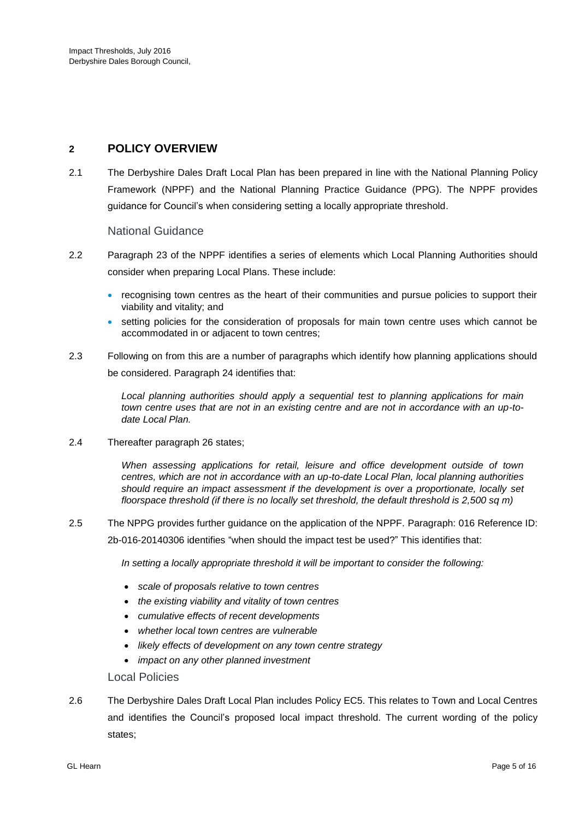# **2 POLICY OVERVIEW**

2.1 The Derbyshire Dales Draft Local Plan has been prepared in line with the National Planning Policy Framework (NPPF) and the National Planning Practice Guidance (PPG). The NPPF provides guidance for Council's when considering setting a locally appropriate threshold.

National Guidance

- 2.2 Paragraph 23 of the NPPF identifies a series of elements which Local Planning Authorities should consider when preparing Local Plans. These include:
	- recognising town centres as the heart of their communities and pursue policies to support their viability and vitality; and
	- setting policies for the consideration of proposals for main town centre uses which cannot be accommodated in or adjacent to town centres;
- 2.3 Following on from this are a number of paragraphs which identify how planning applications should be considered. Paragraph 24 identifies that:

*Local planning authorities should apply a sequential test to planning applications for main town centre uses that are not in an existing centre and are not in accordance with an up-todate Local Plan.*

2.4 Thereafter paragraph 26 states;

*When assessing applications for retail, leisure and office development outside of town centres, which are not in accordance with an up-to-date Local Plan, local planning authorities should require an impact assessment if the development is over a proportionate, locally set floorspace threshold (if there is no locally set threshold, the default threshold is 2,500 sq m)*

2.5 The NPPG provides further guidance on the application of the NPPF. Paragraph: 016 Reference ID: 2b-016-20140306 identifies "when should the impact test be used?" This identifies that:

In setting a locally appropriate threshold it will be important to consider the following:

- *scale of proposals relative to town centres*
- *the existing viability and vitality of town centres*
- *cumulative effects of recent developments*
- *whether local town centres are vulnerable*
- *likely effects of development on any town centre strategy*
- *impact on any other planned investment*

Local Policies

2.6 The Derbyshire Dales Draft Local Plan includes Policy EC5. This relates to Town and Local Centres and identifies the Council's proposed local impact threshold. The current wording of the policy states;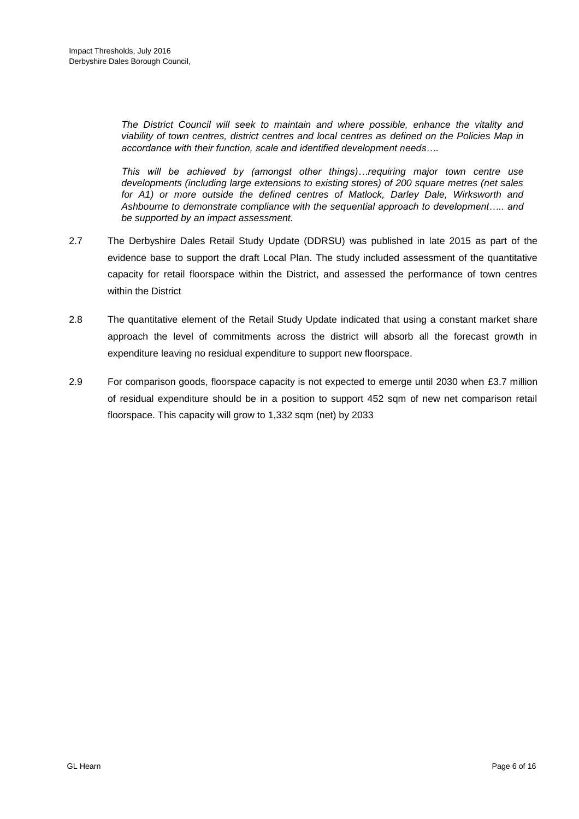*The District Council will seek to maintain and where possible, enhance the vitality and viability of town centres, district centres and local centres as defined on the Policies Map in accordance with their function, scale and identified development needs….* 

*This will be achieved by (amongst other things)…requiring major town centre use developments (including large extensions to existing stores) of 200 square metres (net sales*  for A1) or more outside the defined centres of Matlock, Darley Dale, Wirksworth and *Ashbourne to demonstrate compliance with the sequential approach to development….. and be supported by an impact assessment.* 

- 2.7 The Derbyshire Dales Retail Study Update (DDRSU) was published in late 2015 as part of the evidence base to support the draft Local Plan. The study included assessment of the quantitative capacity for retail floorspace within the District, and assessed the performance of town centres within the District
- 2.8 The quantitative element of the Retail Study Update indicated that using a constant market share approach the level of commitments across the district will absorb all the forecast growth in expenditure leaving no residual expenditure to support new floorspace.
- 2.9 For comparison goods, floorspace capacity is not expected to emerge until 2030 when £3.7 million of residual expenditure should be in a position to support 452 sqm of new net comparison retail floorspace. This capacity will grow to 1,332 sqm (net) by 2033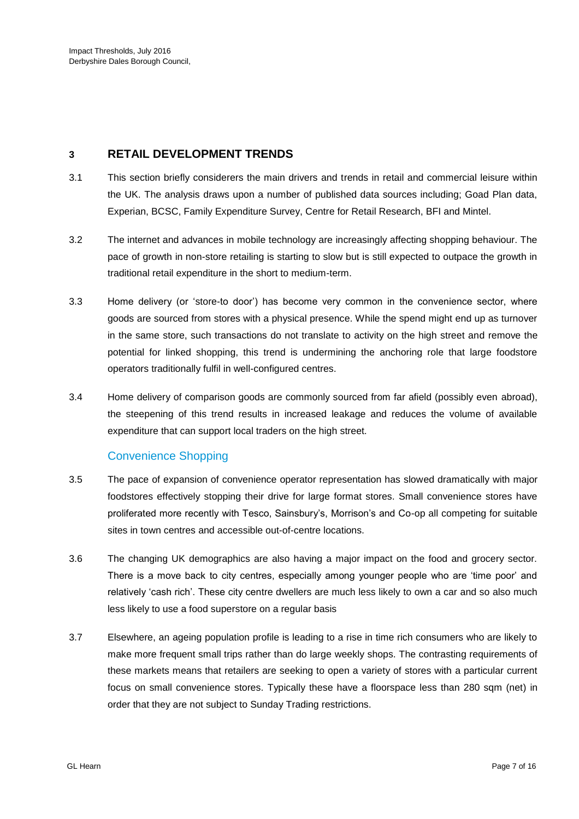## **3 RETAIL DEVELOPMENT TRENDS**

- 3.1 This section briefly considerers the main drivers and trends in retail and commercial leisure within the UK. The analysis draws upon a number of published data sources including; Goad Plan data, Experian, BCSC, Family Expenditure Survey, Centre for Retail Research, BFI and Mintel.
- 3.2 The internet and advances in mobile technology are increasingly affecting shopping behaviour. The pace of growth in non-store retailing is starting to slow but is still expected to outpace the growth in traditional retail expenditure in the short to medium-term.
- 3.3 Home delivery (or 'store-to door') has become very common in the convenience sector, where goods are sourced from stores with a physical presence. While the spend might end up as turnover in the same store, such transactions do not translate to activity on the high street and remove the potential for linked shopping, this trend is undermining the anchoring role that large foodstore operators traditionally fulfil in well-configured centres.
- 3.4 Home delivery of comparison goods are commonly sourced from far afield (possibly even abroad), the steepening of this trend results in increased leakage and reduces the volume of available expenditure that can support local traders on the high street.

# Convenience Shopping

- 3.5 The pace of expansion of convenience operator representation has slowed dramatically with major foodstores effectively stopping their drive for large format stores. Small convenience stores have proliferated more recently with Tesco, Sainsbury's, Morrison's and Co-op all competing for suitable sites in town centres and accessible out-of-centre locations.
- 3.6 The changing UK demographics are also having a major impact on the food and grocery sector. There is a move back to city centres, especially among younger people who are 'time poor' and relatively 'cash rich'. These city centre dwellers are much less likely to own a car and so also much less likely to use a food superstore on a regular basis
- 3.7 Elsewhere, an ageing population profile is leading to a rise in time rich consumers who are likely to make more frequent small trips rather than do large weekly shops. The contrasting requirements of these markets means that retailers are seeking to open a variety of stores with a particular current focus on small convenience stores. Typically these have a floorspace less than 280 sqm (net) in order that they are not subject to Sunday Trading restrictions.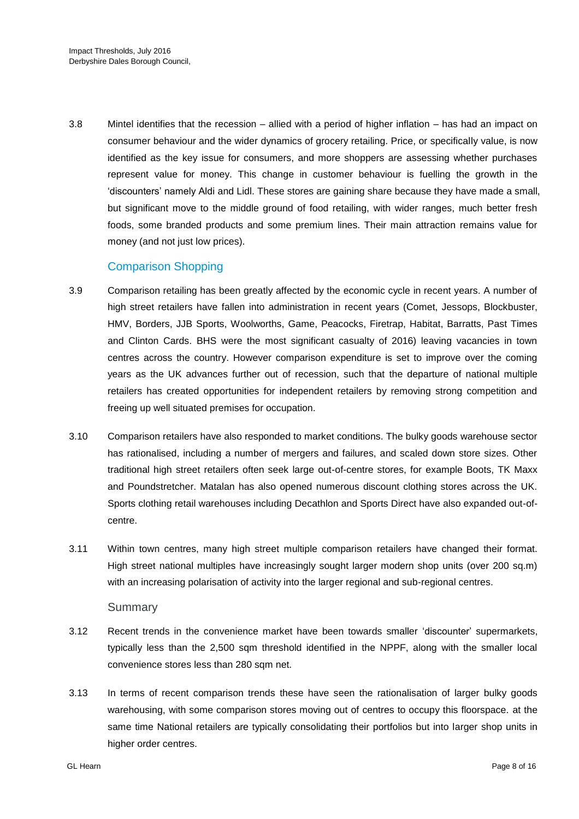3.8 Mintel identifies that the recession – allied with a period of higher inflation – has had an impact on consumer behaviour and the wider dynamics of grocery retailing. Price, or specifically value, is now identified as the key issue for consumers, and more shoppers are assessing whether purchases represent value for money. This change in customer behaviour is fuelling the growth in the 'discounters' namely Aldi and Lidl. These stores are gaining share because they have made a small, but significant move to the middle ground of food retailing, with wider ranges, much better fresh foods, some branded products and some premium lines. Their main attraction remains value for money (and not just low prices).

# Comparison Shopping

- 3.9 Comparison retailing has been greatly affected by the economic cycle in recent years. A number of high street retailers have fallen into administration in recent years (Comet, Jessops, Blockbuster, HMV, Borders, JJB Sports, Woolworths, Game, Peacocks, Firetrap, Habitat, Barratts, Past Times and Clinton Cards. BHS were the most significant casualty of 2016) leaving vacancies in town centres across the country. However comparison expenditure is set to improve over the coming years as the UK advances further out of recession, such that the departure of national multiple retailers has created opportunities for independent retailers by removing strong competition and freeing up well situated premises for occupation.
- 3.10 Comparison retailers have also responded to market conditions. The bulky goods warehouse sector has rationalised, including a number of mergers and failures, and scaled down store sizes. Other traditional high street retailers often seek large out-of-centre stores, for example Boots, TK Maxx and Poundstretcher. Matalan has also opened numerous discount clothing stores across the UK. Sports clothing retail warehouses including Decathlon and Sports Direct have also expanded out-ofcentre.
- 3.11 Within town centres, many high street multiple comparison retailers have changed their format. High street national multiples have increasingly sought larger modern shop units (over 200 sq.m) with an increasing polarisation of activity into the larger regional and sub-regional centres.

#### **Summary**

- 3.12 Recent trends in the convenience market have been towards smaller 'discounter' supermarkets, typically less than the 2,500 sqm threshold identified in the NPPF, along with the smaller local convenience stores less than 280 sqm net.
- 3.13 In terms of recent comparison trends these have seen the rationalisation of larger bulky goods warehousing, with some comparison stores moving out of centres to occupy this floorspace. at the same time National retailers are typically consolidating their portfolios but into larger shop units in higher order centres.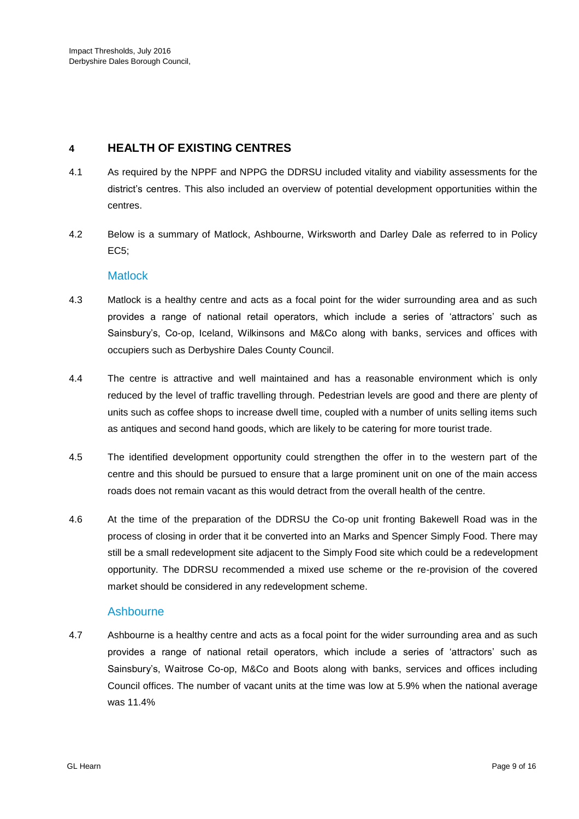# **4 HEALTH OF EXISTING CENTRES**

- 4.1 As required by the NPPF and NPPG the DDRSU included vitality and viability assessments for the district's centres. This also included an overview of potential development opportunities within the centres.
- 4.2 Below is a summary of Matlock, Ashbourne, Wirksworth and Darley Dale as referred to in Policy EC5;

#### **Matlock**

- 4.3 Matlock is a healthy centre and acts as a focal point for the wider surrounding area and as such provides a range of national retail operators, which include a series of 'attractors' such as Sainsbury's, Co-op, Iceland, Wilkinsons and M&Co along with banks, services and offices with occupiers such as Derbyshire Dales County Council.
- 4.4 The centre is attractive and well maintained and has a reasonable environment which is only reduced by the level of traffic travelling through. Pedestrian levels are good and there are plenty of units such as coffee shops to increase dwell time, coupled with a number of units selling items such as antiques and second hand goods, which are likely to be catering for more tourist trade.
- 4.5 The identified development opportunity could strengthen the offer in to the western part of the centre and this should be pursued to ensure that a large prominent unit on one of the main access roads does not remain vacant as this would detract from the overall health of the centre.
- 4.6 At the time of the preparation of the DDRSU the Co-op unit fronting Bakewell Road was in the process of closing in order that it be converted into an Marks and Spencer Simply Food. There may still be a small redevelopment site adjacent to the Simply Food site which could be a redevelopment opportunity. The DDRSU recommended a mixed use scheme or the re-provision of the covered market should be considered in any redevelopment scheme.

### Ashbourne

4.7 Ashbourne is a healthy centre and acts as a focal point for the wider surrounding area and as such provides a range of national retail operators, which include a series of 'attractors' such as Sainsbury's, Waitrose Co-op, M&Co and Boots along with banks, services and offices including Council offices. The number of vacant units at the time was low at 5.9% when the national average was 11.4%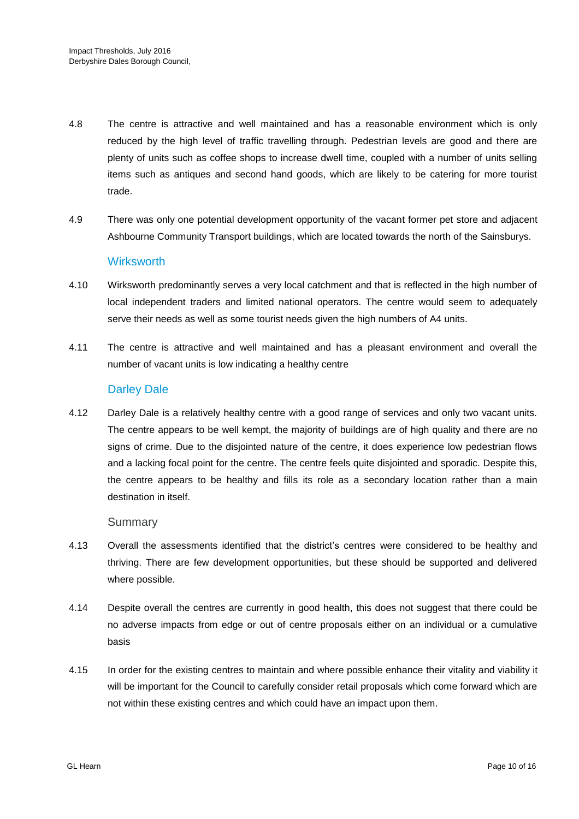- 4.8 The centre is attractive and well maintained and has a reasonable environment which is only reduced by the high level of traffic travelling through. Pedestrian levels are good and there are plenty of units such as coffee shops to increase dwell time, coupled with a number of units selling items such as antiques and second hand goods, which are likely to be catering for more tourist trade.
- 4.9 There was only one potential development opportunity of the vacant former pet store and adjacent Ashbourne Community Transport buildings, which are located towards the north of the Sainsburys.

#### **Wirksworth**

- 4.10 Wirksworth predominantly serves a very local catchment and that is reflected in the high number of local independent traders and limited national operators. The centre would seem to adequately serve their needs as well as some tourist needs given the high numbers of A4 units.
- 4.11 The centre is attractive and well maintained and has a pleasant environment and overall the number of vacant units is low indicating a healthy centre

#### Darley Dale

4.12 Darley Dale is a relatively healthy centre with a good range of services and only two vacant units. The centre appears to be well kempt, the majority of buildings are of high quality and there are no signs of crime. Due to the disjointed nature of the centre, it does experience low pedestrian flows and a lacking focal point for the centre. The centre feels quite disjointed and sporadic. Despite this, the centre appears to be healthy and fills its role as a secondary location rather than a main destination in itself.

#### Summary

- 4.13 Overall the assessments identified that the district's centres were considered to be healthy and thriving. There are few development opportunities, but these should be supported and delivered where possible.
- 4.14 Despite overall the centres are currently in good health, this does not suggest that there could be no adverse impacts from edge or out of centre proposals either on an individual or a cumulative basis
- 4.15 In order for the existing centres to maintain and where possible enhance their vitality and viability it will be important for the Council to carefully consider retail proposals which come forward which are not within these existing centres and which could have an impact upon them.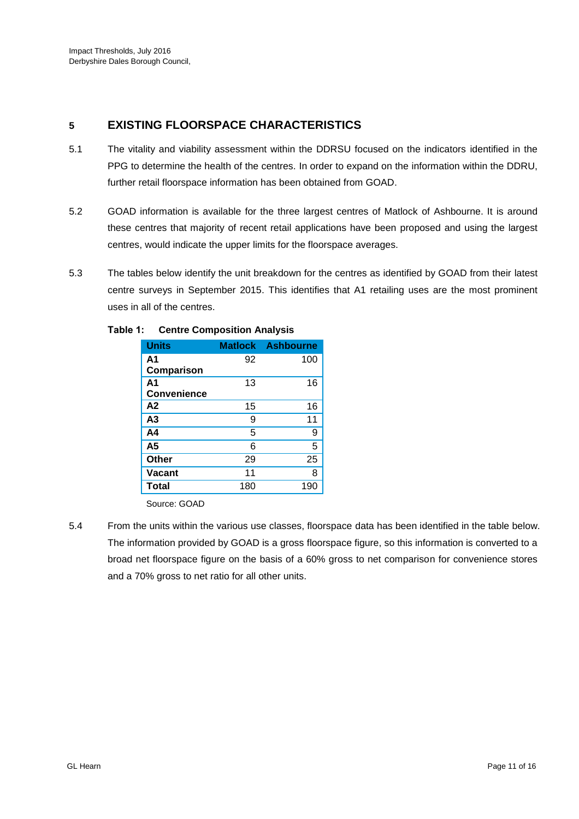# **5 EXISTING FLOORSPACE CHARACTERISTICS**

- 5.1 The vitality and viability assessment within the DDRSU focused on the indicators identified in the PPG to determine the health of the centres. In order to expand on the information within the DDRU, further retail floorspace information has been obtained from GOAD.
- 5.2 GOAD information is available for the three largest centres of Matlock of Ashbourne. It is around these centres that majority of recent retail applications have been proposed and using the largest centres, would indicate the upper limits for the floorspace averages.
- 5.3 The tables below identify the unit breakdown for the centres as identified by GOAD from their latest centre surveys in September 2015. This identifies that A1 retailing uses are the most prominent uses in all of the centres.

| <b>Units</b>       |     | <b>Matlock Ashbourne</b> |
|--------------------|-----|--------------------------|
| A1                 | 92  | 100                      |
| Comparison         |     |                          |
| A <sub>1</sub>     | 13  | 16                       |
| <b>Convenience</b> |     |                          |
| A2                 | 15  | 16                       |
| A <sub>3</sub>     | 9   | 11                       |
| A4                 | 5   | 9                        |
| A <sub>5</sub>     | 6   | 5                        |
| Other              | 29  | 25                       |
| <b>Vacant</b>      | 11  | 8                        |
| Total              | 180 | 190                      |

#### **Table 1: Centre Composition Analysis**

Source: GOAD

5.4 From the units within the various use classes, floorspace data has been identified in the table below. The information provided by GOAD is a gross floorspace figure, so this information is converted to a broad net floorspace figure on the basis of a 60% gross to net comparison for convenience stores and a 70% gross to net ratio for all other units.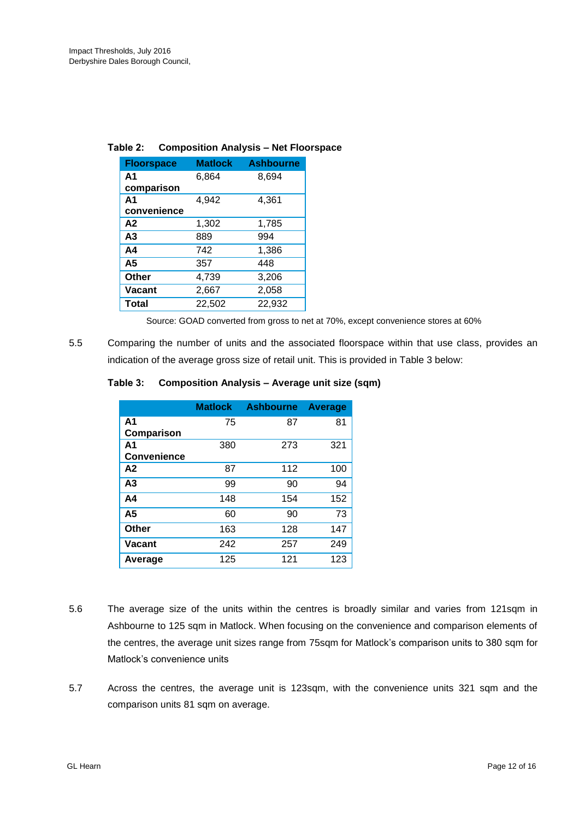| <b>Floorspace</b> | <b>Matlock</b> | <b>Ashbourne</b> |  |
|-------------------|----------------|------------------|--|
| A <sub>1</sub>    | 6,864          | 8,694            |  |
| comparison        |                |                  |  |
| A <sub>1</sub>    | 4,942          | 4,361            |  |
| convenience       |                |                  |  |
| A <sub>2</sub>    | 1,302          | 1,785            |  |
| A <sub>3</sub>    | 889            | 994              |  |
| A4                | 742            | 1,386            |  |
| A <sub>5</sub>    | 357            | 448              |  |
| <b>Other</b>      | 4,739          | 3,206            |  |
| Vacant            | 2,667          | 2,058            |  |
| <b>Total</b>      | 22,502         | 22,932           |  |

#### **Table 2: Composition Analysis – Net Floorspace**

Source: GOAD converted from gross to net at 70%, except convenience stores at 60%

5.5 Comparing the number of units and the associated floorspace within that use class, provides an indication of the average gross size of retail unit. This is provided in Table 3 below:

#### **Table 3: Composition Analysis – Average unit size (sqm)**

|                    | <b>Matlock</b> | <b>Ashbourne</b> | <b>Average</b> |
|--------------------|----------------|------------------|----------------|
| A <sub>1</sub>     | 75             | 87               | 81             |
| Comparison         |                |                  |                |
| A <sub>1</sub>     | 380            | 273              | 321            |
| <b>Convenience</b> |                |                  |                |
| A2                 | 87             | 112              | 100            |
| A <sub>3</sub>     | 99             | 90               | 94             |
| A <sub>4</sub>     | 148            | 154              | 152            |
| A <sub>5</sub>     | 60             | 90               | 73             |
| Other              | 163            | 128              | 147            |
| Vacant             | 242            | 257              | 249            |
| Average            | 125            | 121              | 123            |

- 5.6 The average size of the units within the centres is broadly similar and varies from 121sqm in Ashbourne to 125 sqm in Matlock. When focusing on the convenience and comparison elements of the centres, the average unit sizes range from 75sqm for Matlock's comparison units to 380 sqm for Matlock's convenience units
- 5.7 Across the centres, the average unit is 123sqm, with the convenience units 321 sqm and the comparison units 81 sqm on average.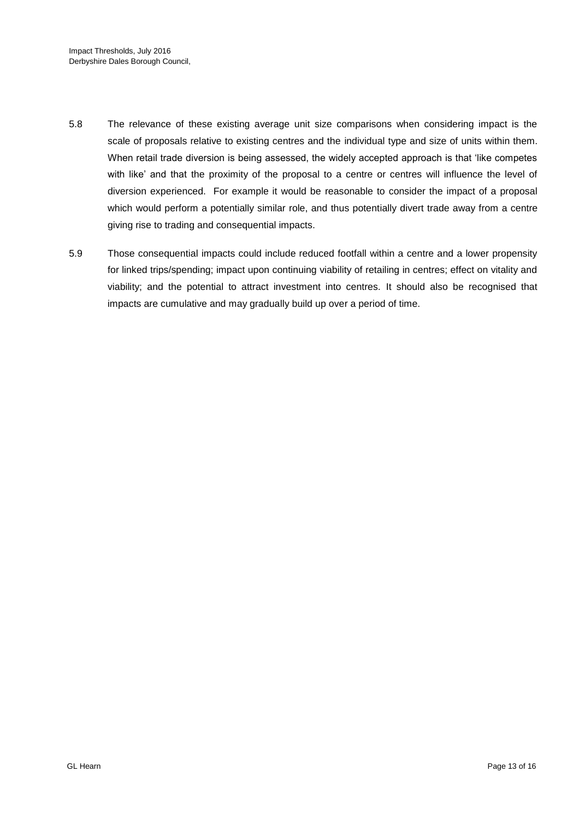- 5.8 The relevance of these existing average unit size comparisons when considering impact is the scale of proposals relative to existing centres and the individual type and size of units within them. When retail trade diversion is being assessed, the widely accepted approach is that 'like competes with like' and that the proximity of the proposal to a centre or centres will influence the level of diversion experienced. For example it would be reasonable to consider the impact of a proposal which would perform a potentially similar role, and thus potentially divert trade away from a centre giving rise to trading and consequential impacts.
- 5.9 Those consequential impacts could include reduced footfall within a centre and a lower propensity for linked trips/spending; impact upon continuing viability of retailing in centres; effect on vitality and viability; and the potential to attract investment into centres. It should also be recognised that impacts are cumulative and may gradually build up over a period of time.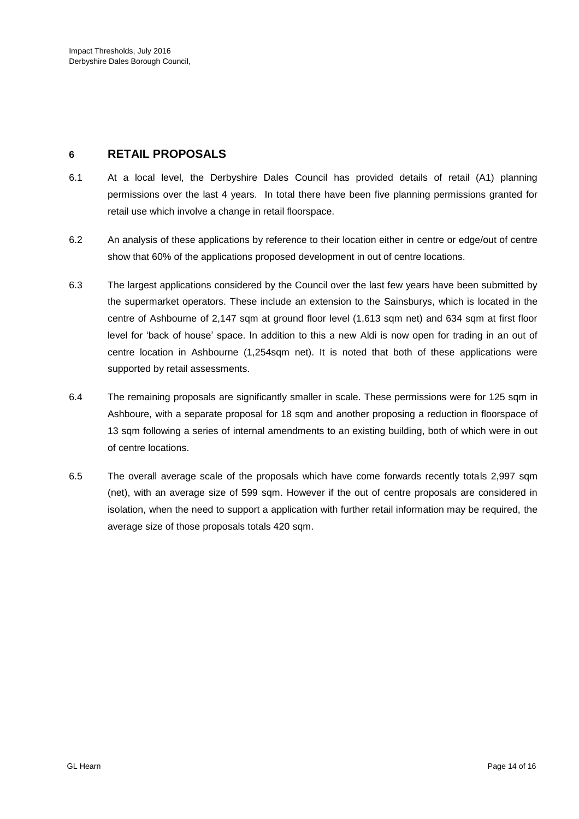# **6 RETAIL PROPOSALS**

- 6.1 At a local level, the Derbyshire Dales Council has provided details of retail (A1) planning permissions over the last 4 years. In total there have been five planning permissions granted for retail use which involve a change in retail floorspace.
- 6.2 An analysis of these applications by reference to their location either in centre or edge/out of centre show that 60% of the applications proposed development in out of centre locations.
- 6.3 The largest applications considered by the Council over the last few years have been submitted by the supermarket operators. These include an extension to the Sainsburys, which is located in the centre of Ashbourne of 2,147 sqm at ground floor level (1,613 sqm net) and 634 sqm at first floor level for 'back of house' space. In addition to this a new Aldi is now open for trading in an out of centre location in Ashbourne (1.254sqm net). It is noted that both of these applications were supported by retail assessments.
- 6.4 The remaining proposals are significantly smaller in scale. These permissions were for 125 sqm in Ashboure, with a separate proposal for 18 sqm and another proposing a reduction in floorspace of 13 sqm following a series of internal amendments to an existing building, both of which were in out of centre locations.
- 6.5 The overall average scale of the proposals which have come forwards recently totals 2,997 sqm (net), with an average size of 599 sqm. However if the out of centre proposals are considered in isolation, when the need to support a application with further retail information may be required, the average size of those proposals totals 420 sqm.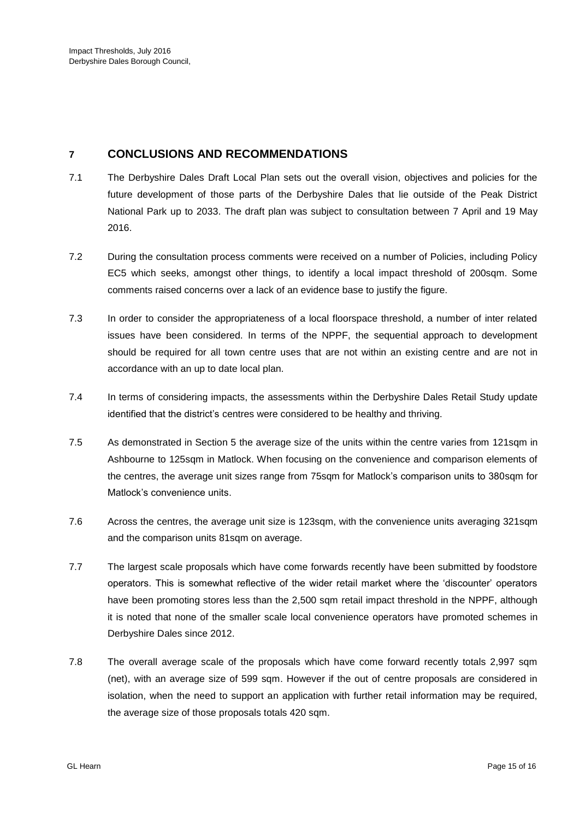# **7 CONCLUSIONS AND RECOMMENDATIONS**

- 7.1 The Derbyshire Dales Draft Local Plan sets out the overall vision, objectives and policies for the future development of those parts of the Derbyshire Dales that lie outside of the Peak District National Park up to 2033. The draft plan was subject to consultation between 7 April and 19 May 2016.
- 7.2 During the consultation process comments were received on a number of Policies, including Policy EC5 which seeks, amongst other things, to identify a local impact threshold of 200sqm. Some comments raised concerns over a lack of an evidence base to justify the figure.
- 7.3 In order to consider the appropriateness of a local floorspace threshold, a number of inter related issues have been considered. In terms of the NPPF, the sequential approach to development should be required for all town centre uses that are not within an existing centre and are not in accordance with an up to date local plan.
- 7.4 In terms of considering impacts, the assessments within the Derbyshire Dales Retail Study update identified that the district's centres were considered to be healthy and thriving.
- 7.5 As demonstrated in Section 5 the average size of the units within the centre varies from 121sqm in Ashbourne to 125sqm in Matlock. When focusing on the convenience and comparison elements of the centres, the average unit sizes range from 75sqm for Matlock's comparison units to 380sqm for Matlock's convenience units.
- 7.6 Across the centres, the average unit size is 123sqm, with the convenience units averaging 321sqm and the comparison units 81sqm on average.
- 7.7 The largest scale proposals which have come forwards recently have been submitted by foodstore operators. This is somewhat reflective of the wider retail market where the 'discounter' operators have been promoting stores less than the 2,500 sqm retail impact threshold in the NPPF, although it is noted that none of the smaller scale local convenience operators have promoted schemes in Derbyshire Dales since 2012.
- 7.8 The overall average scale of the proposals which have come forward recently totals 2,997 sqm (net), with an average size of 599 sqm. However if the out of centre proposals are considered in isolation, when the need to support an application with further retail information may be required, the average size of those proposals totals 420 sqm.